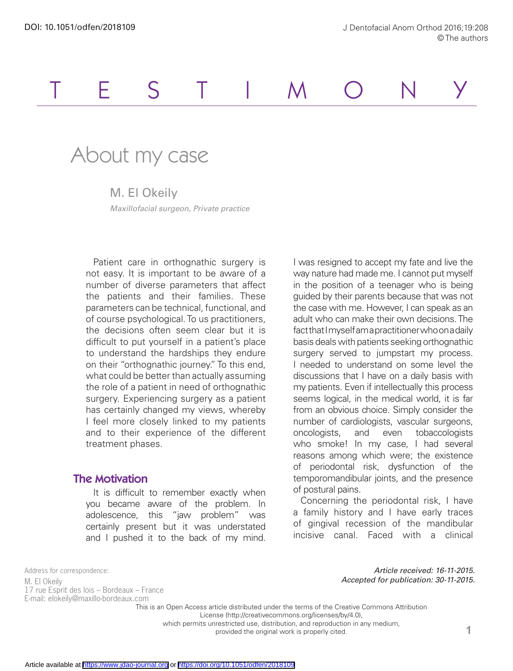# TESTIMONY

## About my case

M. El Okeily *Maxillofacial surgeon, Private practice*

Patient care in orthognathic surgery is not easy. It is important to be aware of a number of diverse parameters that affect the patients and their families. These parameters can be technical, functional, and of course psychological. To us practitioners, the decisions often seem clear but it is difficult to put yourself in a patient's place to understand the hardships they endure on their "orthognathic journey." To this end, what could be better than actually assuming the role of a patient in need of orthognathic surgery. Experiencing surgery as a patient has certainly changed my views, whereby I feel more closely linked to my patients and to their experience of the different treatment phases.

#### The Motivation

It is difficult to remember exactly when you became aware of the problem. In adolescence, this "jaw problem" was certainly present but it was understated and I pushed it to the back of my mind.

I was resigned to accept my fate and live the way nature had made me. I cannot put myself in the position of a teenager who is being guided by their parents because that was not the case with me. However, I can speak as an adult who can make their own decisions. The fact that I myself am a practitioner who on a daily basis deals with patients seeking orthognathic surgery served to jumpstart my process. I needed to understand on some level the discussions that I have on a daily basis with my patients. Even if intellectually this process seems logical, in the medical world, it is far from an obvious choice. Simply consider the number of cardiologists, vascular surgeons, oncologists, and even tobaccologists who smoke! In my case, I had several reasons among which were; the existence of periodontal risk, dysfunction of the temporomandibular joints, and the presence of postural pains.

Concerning the periodontal risk, I have a family history and I have early traces of gingival recession of the mandibular incisive canal. Faced with a clinical

Address for correspondence: M. El Okeily 17 rue Esprit des lois – Bordeaux – France E-mail: elokeily@maxillo-bordeaux.com

*Article received: 16-11-2015. Accepted for publication: 30-11-2015.*

This is an Open Access article distributed under the terms of the Creative Commons Attribution

License (http://creativecommons.org/licenses/by/4.0),

which permits unrestricted use, distribution, and reproduction in any medium,

provided the original work is properly cited.

Article available at <https://www.jdao-journal.org> or <https://doi.org/10.1051/odfen/2018109>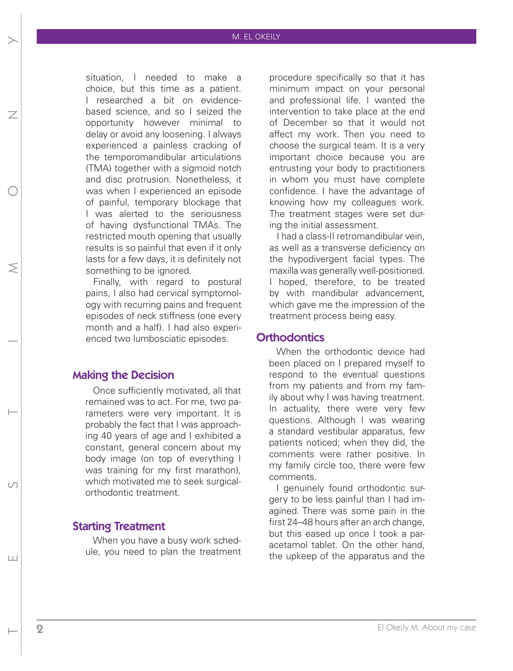#### M. EL OKEILY

situation, I needed to make a choice, but this time as a patient. I researched a bit on evidencebased science, and so I seized the opportunity however minimal to delay or avoid any loosening. I always experienced a painless cracking of the temporomandibular articulations (TMA) together with a sigmoid notch and disc protrusion. Nonetheless, it was when I experienced an episode of painful, temporary blockage that I was alerted to the seriousness of having dysfunctional TMAs. The restricted mouth opening that usually results is so painful that even if it only lasts for a few days, it is definitely not something to be ignored.

Finally, with regard to postural pains, I also had cervical symptomology with recurring pains and frequent episodes of neck stiffness (one every month and a half). I had also experienced two lumbosciatic episodes.

#### Making the Decision

NND MONTH DONN MONTH DONN MONTH DONN MONTH DONN MONTH DONN MONTH DONN MONTH DONN MONTH DONN MONTH DONN MONTH DONN MONTH DONN MONTH DONN MONTH DONN MONTH DONN MONTH DONN MONTH DONN MONTH DONN MONTH DONN MONTH DONN MONTH DON

 $|+|$ 

⋝

 $\overline{\phantom{a}}$ 

Once sufficiently motivated, all that remained was to act. For me, two parameters were very important. It is probably the fact that I was approaching 40 years of age and I exhibited a constant, general concern about my body image (on top of everything I was training for my first marathon), which motivated me to seek surgicalorthodontic treatment.

#### Starting Treatment

When you have a busy work schedule, you need to plan the treatment

procedure specifically so that it has minimum impact on your personal and professional life. I wanted the intervention to take place at the end of December so that it would not affect my work. Then you need to choose the surgical team. It is a very important choice because you are entrusting your body to practitioners in whom you must have complete confidence. I have the advantage of knowing how my colleagues work. The treatment stages were set during the initial assessment.

I had a class-II retromandibular vein, as well as a transverse deficiency on the hypodivergent facial types. The maxilla was generally well-positioned. I hoped, therefore, to be treated by with mandibular advancement, which gave me the impression of the treatment process being easy.

#### **Orthodontics**

When the orthodontic device had been placed on I prepared myself to respond to the eventual questions from my patients and from my family about why I was having treatment. In actuality, there were very few questions. Although I was wearing a standard vestibular apparatus, few patients noticed; when they did, the comments were rather positive. In my family circle too, there were few comments.

I genuinely found orthodontic surgery to be less painful than I had imagined. There was some pain in the first 24–48 hours after an arch change, but this eased up once I took a paracetamol tablet. On the other hand, the upkeep of the apparatus and the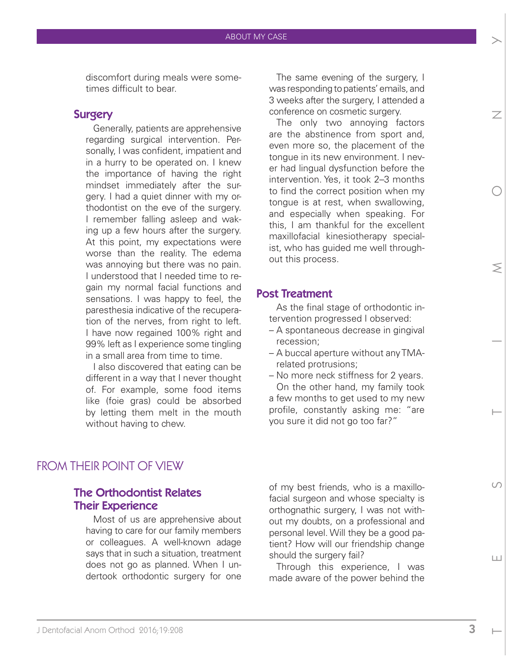discomfort during meals were sometimes difficult to bear.

#### **Surgery**

Generally, patients are apprehensive regarding surgical intervention. Personally, I was confident, impatient and in a hurry to be operated on. I knew the importance of having the right mindset immediately after the surgery. I had a quiet dinner with my orthodontist on the eve of the surgery. I remember falling asleep and waking up a few hours after the surgery. At this point, my expectations were worse than the reality. The edema was annoying but there was no pain. I understood that I needed time to regain my normal facial functions and sensations. I was happy to feel, the paresthesia indicative of the recuperation of the nerves, from right to left. I have now regained 100% right and 99% left as I experience some tingling in a small area from time to time.

I also discovered that eating can be different in a way that I never thought of. For example, some food items like (foie gras) could be absorbed by letting them melt in the mouth without having to chew.

The same evening of the surgery, I was responding to patients' emails, and 3 weeks after the surgery, I attended a conference on cosmetic surgery.

The only two annoying factors are the abstinence from sport and, even more so, the placement of the tongue in its new environment. I never had lingual dysfunction before the intervention. Yes, it took 2–3 months to find the correct position when my tongue is at rest, when swallowing, and especially when speaking. For this, I am thankful for the excellent maxillofacial kinesiotherapy specialist, who has guided me well throughout this process.

#### Post Treatment

As the final stage of orthodontic intervention progressed I observed:

- A spontaneous decrease in gingival recession;
- A buccal aperture without any TMArelated protrusions;
- No more neck stiffness for 2 years. On the other hand, my family took a few months to get used to my new profile, constantly asking me: "are you sure it did not go too far?"

### FROM THEIR POINT OF VIEW

#### The Orthodontist Relates Their Experience

Most of us are apprehensive about having to care for our family members or colleagues. A well-known adage says that in such a situation, treatment does not go as planned. When I undertook orthodontic surgery for one

of my best friends, who is a maxillofacial surgeon and whose specialty is orthognathic surgery, I was not without my doubts, on a professional and personal level. Will they be a good patient? How will our friendship change should the surgery fail?

Through this experience, I was made aware of the power behind the

NE SS HOSS HOSS HOSS

 $\bigcap$ 

Ш

 $\leq$ 

 $\overline{\phantom{a}}$